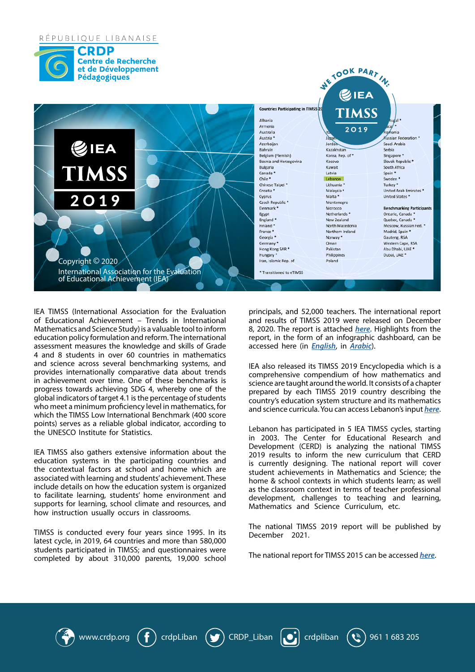## RÉPUBLIQUE LIBANAISE





www.crdp.org  $\left(\frac{f}{f}\right)$  crdpLiban  $\left(\frac{f}{f}\right)$  CRDP Liban  $\left[\begin{array}{c} \bullet \\ \bullet \end{array}\right]$  crdpliban  $\left(\begin{array}{c} \bullet \\ \bullet \end{array}\right)$  961 1 683 205

In achievement over time. One of these benchmarks is expressed are taught around the world<br>progress towards achieving SDG 4, whereby one of the express are neach TIMSS 2019 co giobal indicators of target 4.1 is the percentage of students country's education syste<br>who meet a minimum proficiency level in mathematics, for and science curricula. You IEA TIMSS (International Association for the Evaluation of Educational Achievement – Trends in International Mathematics and Science Study) is a valuable tool to inform education policy formulation and reform. The international assessment measures the knowledge and skills of Grade 4 and 8 students in over 60 countries in mathematics and science across several benchmarking systems, and provides internationally comparative data about trends in achievement over time. One of these benchmarks is global indicators of target 4.1 is the percentage of students which the TIMSS Low International Benchmark (400 score points) serves as a reliable global indicator, according to the UNESCO Institute for Statistics.

**ACHIEVEMENT SCIENCE** These .achievement' students and learning with associated IEA TIMSS also gathers extensive information about the education systems in the participating countries and the contextual factors at school and home which are include details on how the education system is organized to facilitate learning, students' home environment and supports for learning, school climate and resources, and how instruction usually occurs in classrooms.

TIMSS is conducted every four years since 1995. In its latest cycle, in 2019, 64 countries and more than 580,000 students participated in TIMSS; and questionnaires were completed by about 310,000 parents, 19,000 school

principals, and 52,000 teachers. The international report and results of TIMSS 2019 were released on December 8, 2020. The report is attached *[here](https://www.crdp.org/sites/default/files/TIMSS-2019-International-Results-in-Mathematics-and-Science.pdf)*. Highlights from the report, in the form of an infographic dashboard, can be accessed here (in *[English](https://datastudio.google.com/reporting/4e57826a-fd39-46da-b87e-a36188fac026/page/gYLhB?s=m1xa_GT24so)*, in *[Arabic](https://datastudio.google.com/reporting/ce62816c-a40c-4781-a27c-ec519c9a6046/page/gYLhB)*).

 $\epsilon$  our the in participate to choose could participate to choose could participate to choose  $\epsilon$ 

IEA also released its TIMSS 2019 Encyclopedia which is a comprehensive compendium of how mathematics and science are taught around the world. It consists of a chapter prepared by each TIMSS 2019 country describing the country's education system structure and its mathematics and science curricula. You can access Lebanon's input *[here](https://timssandpirls.bc.edu/timss2019/encyclopedia/lebanon.html)*.

also gathers extensive information about the<br>Development (CERD) is analyzing the national TIMSS<br>systems in the participating countries and<br>is currently designing. The national report will cover Lebanon has participated in 5 IEA TIMSS cycles, starting in 2003. The Center for Educational Research and 2019 results to inform the new curriculum that CERD is currently designing. The national report will cover student achievements in Mathematics and Science; the home & school contexts in which students learn; as well as the classroom context in terms of teacher professional development, challenges to teaching and learning, Mathematics and Science Curriculum, etc.

> The national TIMSS 2019 report will be published by December 2021.

The national report for TIMSS 2015 can be accessed [here](https://www.crdp.org/sites/default/files/crdpcontent/files/201811210625183.pdf).

**PIRLS & TIMSS**